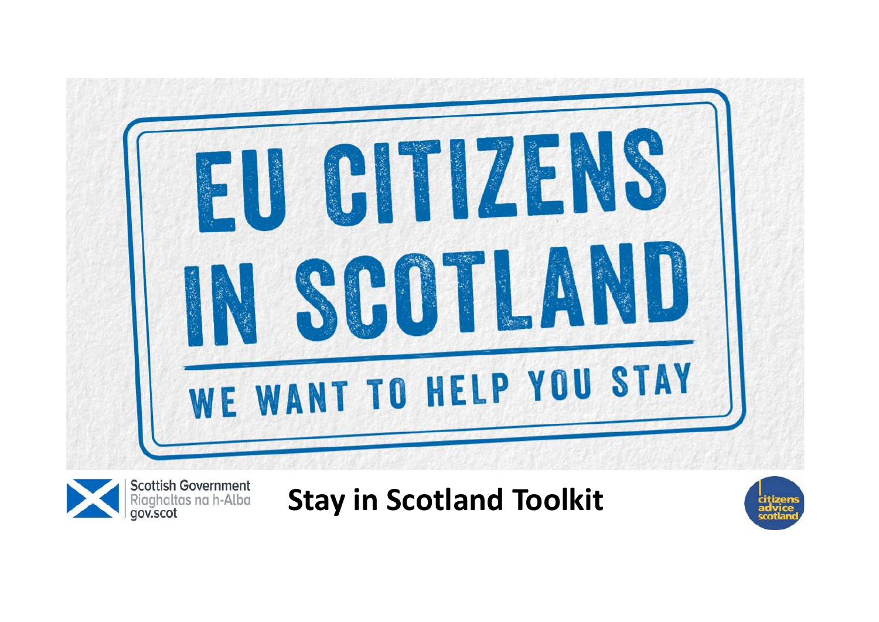

**Scottish Government** Riaghaltas na h-Alba gov.scot

## Stay in Scotland Toolkit

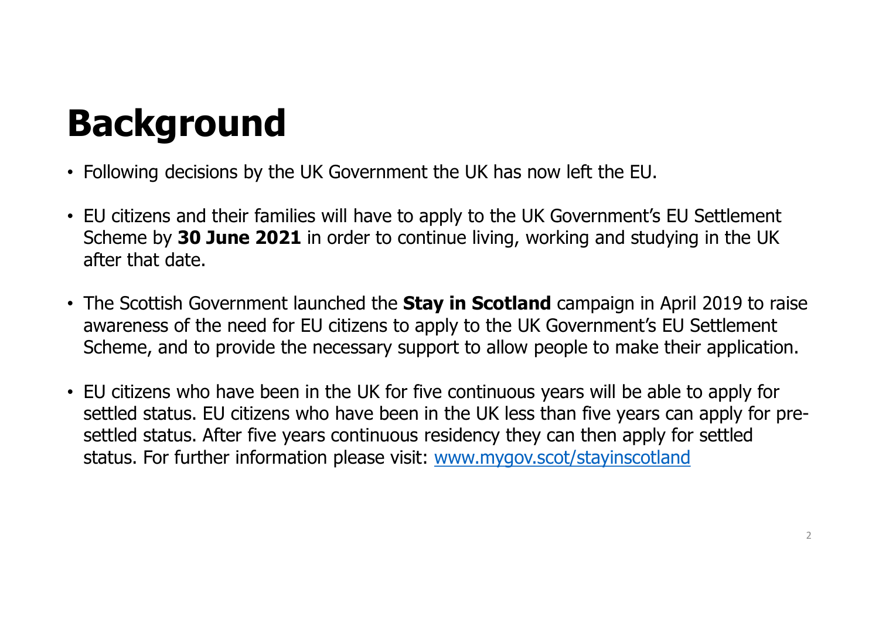# Background

- Following decisions by the UK Government the UK has now left the EU.
- EU citizens and their families will have to apply to the UK Government's EU Settlement Scheme by 30 June 2021 in order to continue living, working and studying in the UK after that date.
- The Scottish Government launched the **Stay in Scotland** campaign in April 2019 to raise awareness of the need for EU citizens to apply to the UK Government's EU Settlement Scheme, and to provide the necessary support to allow people to make their application.
- EU citizens who have been in the UK for five continuous years will be able to apply for settled status. EU citizens who have been in the UK less than five years can apply for presettled status. After five years continuous residency they can then apply for settled status. For further information please visit: www.mygov.scot/stayinscotland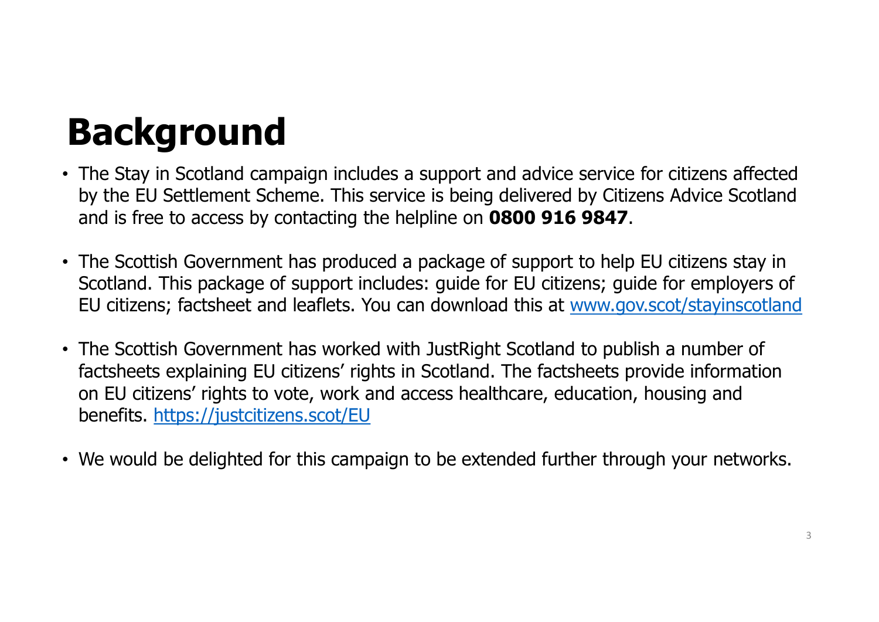# Background

- The Stay in Scotland campaign includes a support and advice service for citizens affected by the EU Settlement Scheme. This service is being delivered by Citizens Advice Scotland and is free to access by contacting the helpline on 0800 916 9847.
- The Scottish Government has produced a package of support to help EU citizens stay in Scotland. This package of support includes: guide for EU citizens; guide for employers of EU citizens; factsheet and leaflets. You can download this at www.gov.scot/stayinscotland
- **Background**<br>• The Stay in Scotland campaign includes a support and advice service for citizens affected<br>by the EU Settlement Scheme. This service is being delivered by Citizens Advice Scotland<br>and is free to access by con factsheets explaining EU citizens' rights in Scotland. The factsheets provide information **Sackground**<br>The Stay in Scotland campaign includes a support and advice service for citizens affected<br>by the EU Settlement Scheme. This service is being delivered by Citizens Advice Scotland<br>and is free to access by conta benefits. https://justcitizens.scot/EU
- We would be delighted for this campaign to be extended further through your networks.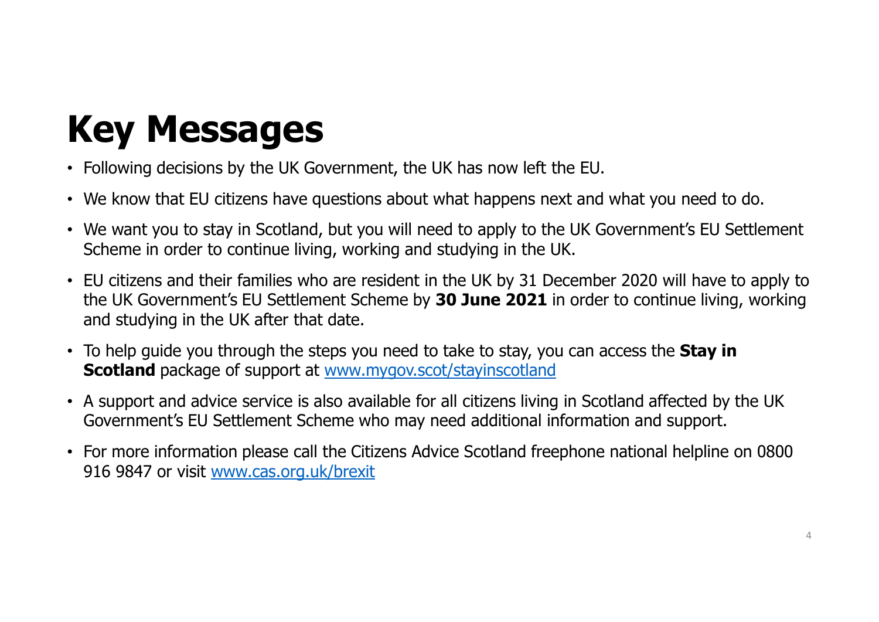# Key Messages

- Following decisions by the UK Government, the UK has now left the EU.
- We know that EU citizens have questions about what happens next and what you need to do.
- We want you to stay in Scotland, but you will need to apply to the UK Government's EU Settlement Scheme in order to continue living, working and studying in the UK.
- EU citizens and their families who are resident in the UK by 31 December 2020 will have to apply to the UK Government's EU Settlement Scheme by 30 June 2021 in order to continue living, working and studying in the UK after that date. • We know that EU citizens have questions about what happens next and what you need to do.<br>
• We want you to stay in Scotland, but you will need to apply to the UK Government's EU Settlement<br>
Scheme in order to continue l
- To help guide you through the steps you need to take to stay, you can access the **Stay in** Scotland package of support at www.mygov.scot/stayinscotland
- A support and advice service is also available for all citizens living in Scotland affected by the UK Government's EU Settlement Scheme who may need additional information and support.
- 916 9847 or visit www.cas.org.uk/brexit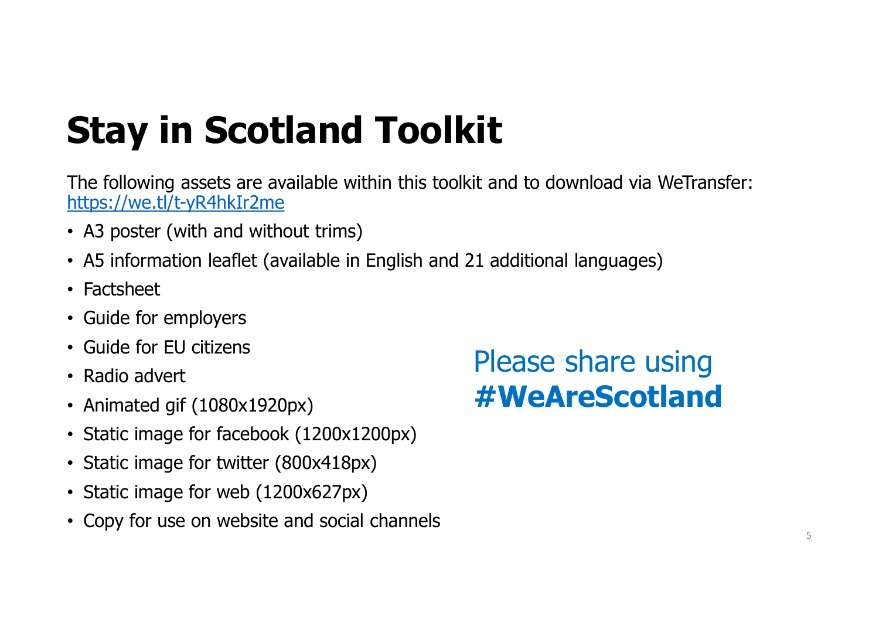# Stay in Scotland Toolkit

The following assets are available within this toolkit and to download via WeTransfer: https://we.tl/t-yR4hkIr2me **Stay in Scotland Toolkit**<br>The following assets are available within this toolkit and to download via W<br>https://we.tl/t-yR4hkIr2me<br>• A3 poster (with and without trims)<br>• Factsheet<br>• Guide for employers The following assets are available within this toolkit and to download v<br>
https://we.tl/t-yR4hkIr2me<br>
• A3 poster (with and without trims)<br>
• A5 information leaflet (available in English and 21 additional languag<br>
• Factsh

- A3 poster (with and without trims)
- 
- 
- 
- Guide for EU citizens
- Radio advert
- Animated gif (1080x1920px)
- 
- Static image for twitter (800x418px)
- Static image for web (1200x627px)
- Copy for use on website and social channels

## Please share using #WeAreScotland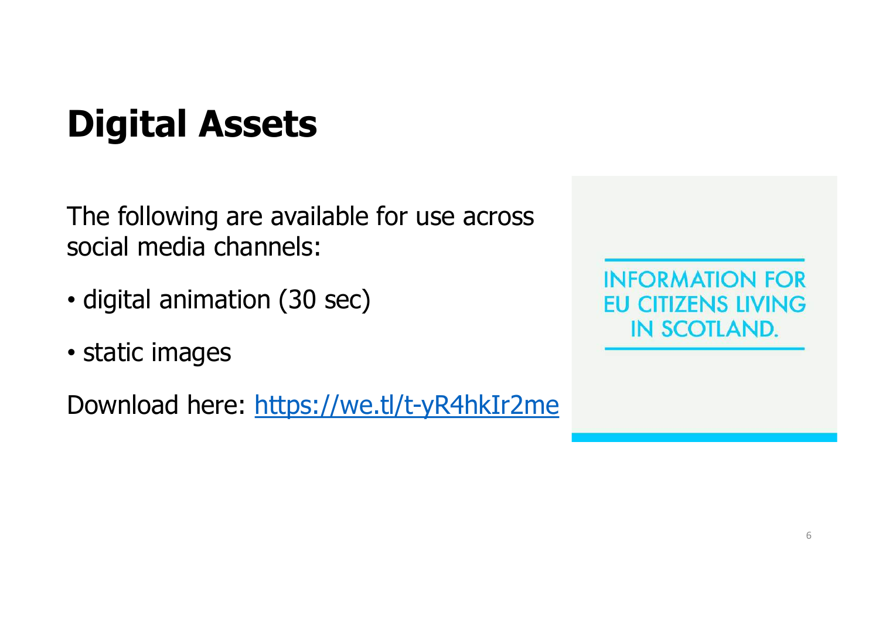# Digital Assets

The following are available for use across social media channels:

- digital animation (30 sec)
- static images

Download here: https://we.tl/t-yR4hkIr2me

**INFORMATION FOR EU CITIZENS LIVING IN SCOTLAND.**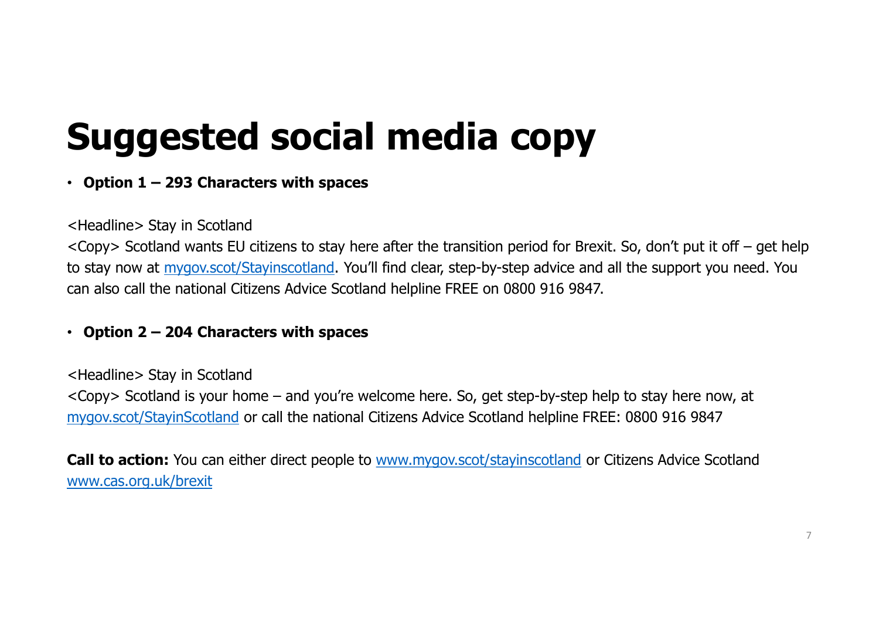# Suggested social media copy **Suggested social media Co.**<br>
• Option 1 – 293 Characters with spaces<br>  $\leftarrow$  Headline> Stay in Scotland

## <Headline> Stay in Scotland

Suggested social media copy<br>
option 1 – 293 Characters with spaces<br>
<br>
<Headline> Stay in Scotland<br>
<Copy> Scotland wants EU citizens to stay here after the transition period for Brexit. So, don't put it off – get help<br>
to to stay now at mygov.scot/Stayinscotland. You'll find clear, step-by-step advice and all the support you need. You can also call the national Citizens Advice Scotland helpline FREE on 0800 916 9847. **Suggested social media**<br>
• Option 1 – 293 Characters with spaces<br>  $\leq$  Headline> Stay in Scotland<br>  $\leq$ Copy> Scotland wants EU citizens to stay here after the transition<br>
to stay now at <u>mygov.scot/Stayinscotland</u>. You' **Suggested social media COpy**<br> **Copy**<br> **Copy**<br> **Copy** Scotland wants EU citizens to stay here after the transition period for Brexit. So, don't put it off – get help<br>
stay now at <u>mygov.scot/Stavinscotland</u>. You'll find cl

<Headline> Stay in Scotland mygov.scot/StayinScotland or call the national Citizens Advice Scotland helpline FREE: 0800 916 9847

**Call to action:** You can either direct people to www.mygov.scot/stayinscotland or Citizens Advice Scotland www.cas.org.uk/brexit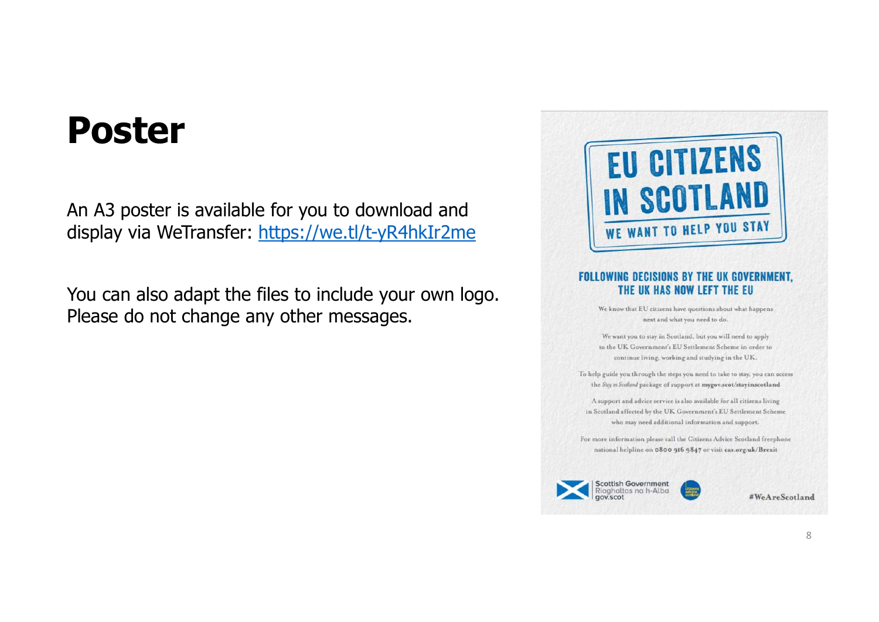## Poster

An A3 poster is available for you to download and **Poster**<br>An A3 poster is available for you to download and<br>display via WeTransfer: https://we.tl/t-yR4hkIr2me<br>Nou can also adant the files to include your own logo

You can also adapt the files to include your own logo. Please do not change any other messages.



We know that EU citizens have questions about what happens next and what you need to do.

We want you to stay in Scotland, but you will need to apply to the UK Government's EU Settlement Scheme in order to continue living, working and studying in the UK.

To help guide you through the steps you need to take to stay, you can access the Stay in Scotland package of support at mygov.scot/stayinscotland

A support and advice service is also available for all citizens living in Scotland affected by the UK Government's EU Settlement Scheme who may need additional information and support.

For more information please call the Citizens Advice Scotland freephone national helpline on 0800 916 9847 or visit cas.org.uk/Brexit



#WeAreScotland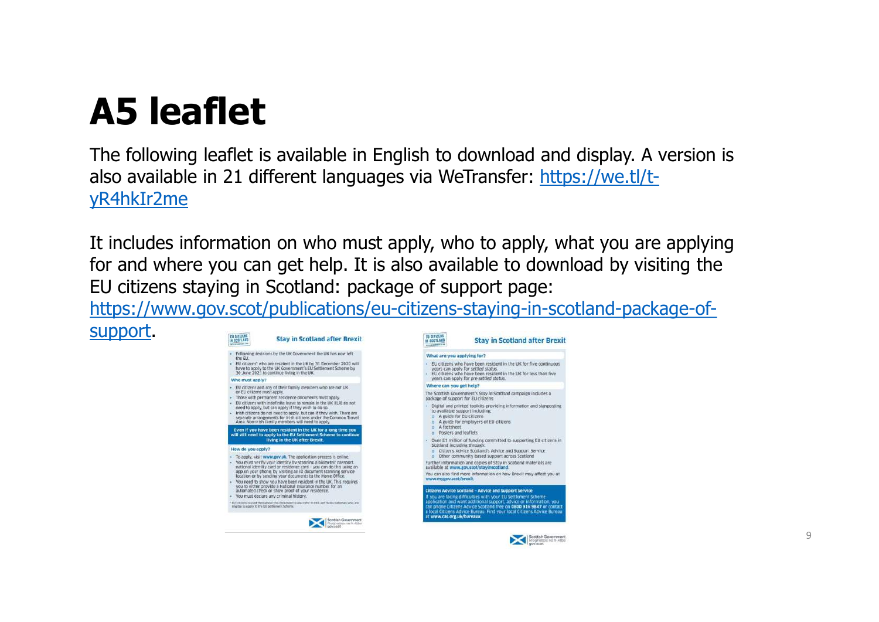support.

**A5 leaflet**<br>The following leaflet is available in English to dow<br>also available in 21 different languages via WeTrai The following leaflet is available in English to download and display. A version is also available in 21 different languages via WeTransfer: https://we.tl/tyR4hkIr2me

It includes information on who must apply, who to apply, what you are applying for and where you can get help. It is also available to download by visiting the EU citizens staying in Scotland: package of support page:

https://www.gov.scot/publications/eu-citizens-staying-in-scotland-package-of-

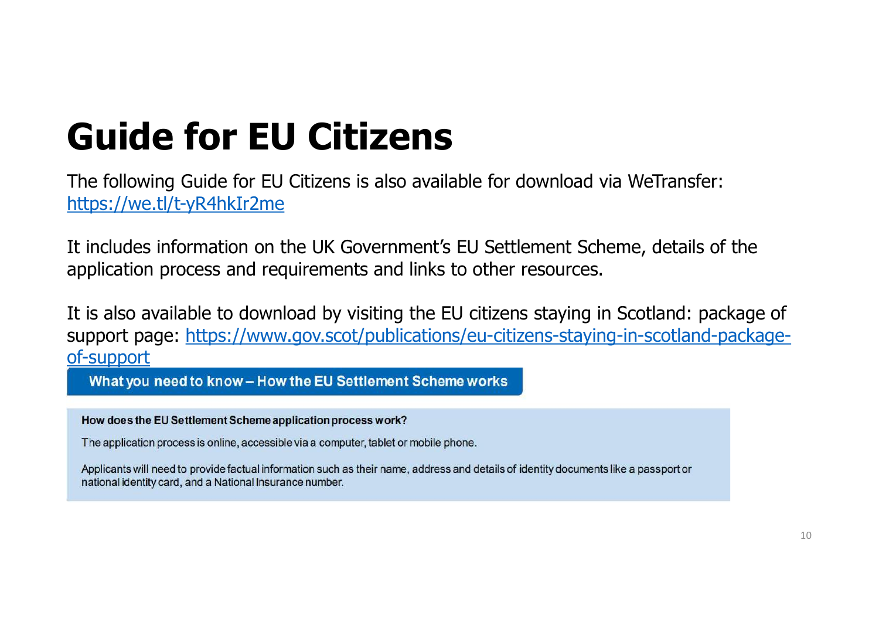# Guide for EU Citizens

The following Guide for EU Citizens is also available for download via WeTransfer: https://we.tl/t-yR4hkIr2me

It includes information on the UK Government's EU Settlement Scheme, details of the application process and requirements and links to other resources.

It is also available to download by visiting the EU citizens staying in Scotland: package of support page: https://www.gov.scot/publications/eu-citizens-staying-in-scotland-packageof-support

What you need to know - How the EU Settlement Scheme works

How does the EU Settlement Scheme application process work?

The application process is online, accessible via a computer, tablet or mobile phone.

Applicants will need to provide factual information such as their name, address and details of identity documents like a passport or national identity card, and a National Insurance number.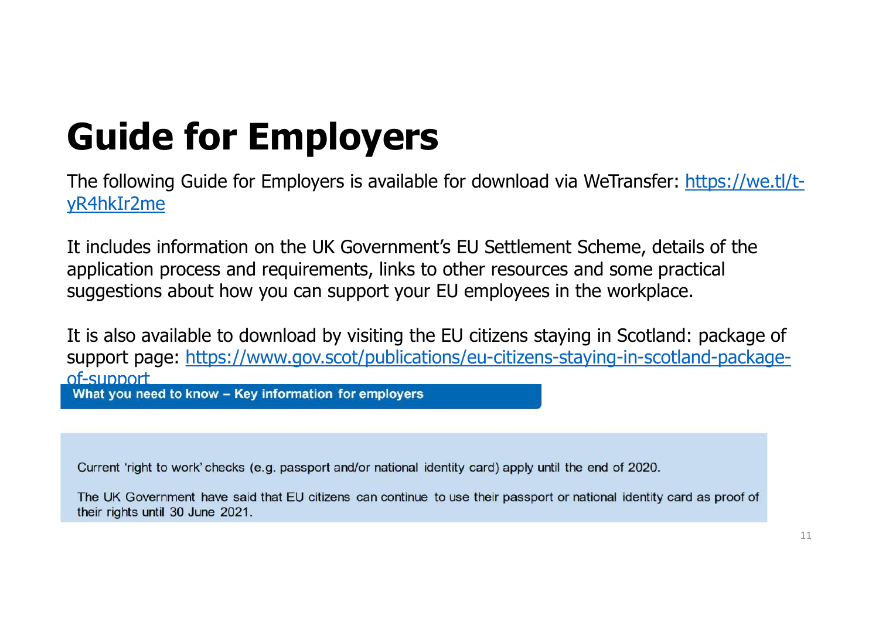# Guide for Employers

Guide for Employers<br>The following Guide for Employers is available for download via WeTransfer: https://we.tl/t-<br>Thincludes information on the LIV Covernment's EU Sottlement Scheme, details of the yR4hkIr2me

It includes information on the UK Government's EU Settlement Scheme, details of the application process and requirements, links to other resources and some practical suggestions about how you can support your EU employees in the workplace.

It is also available to download by visiting the EU citizens staying in Scotland: package of support page: https://www.gov.scot/publications/eu-citizens-staying-in-scotland-packageof-SUDDOLT<br>What you need to know – Key information for employers

Current 'right to work' checks (e.g. passport and/or national identity card) apply until the end of 2020.

The UK Government have said that EU citizens can continue to use their passport or national identity card as proof of their rights until 30 June 2021.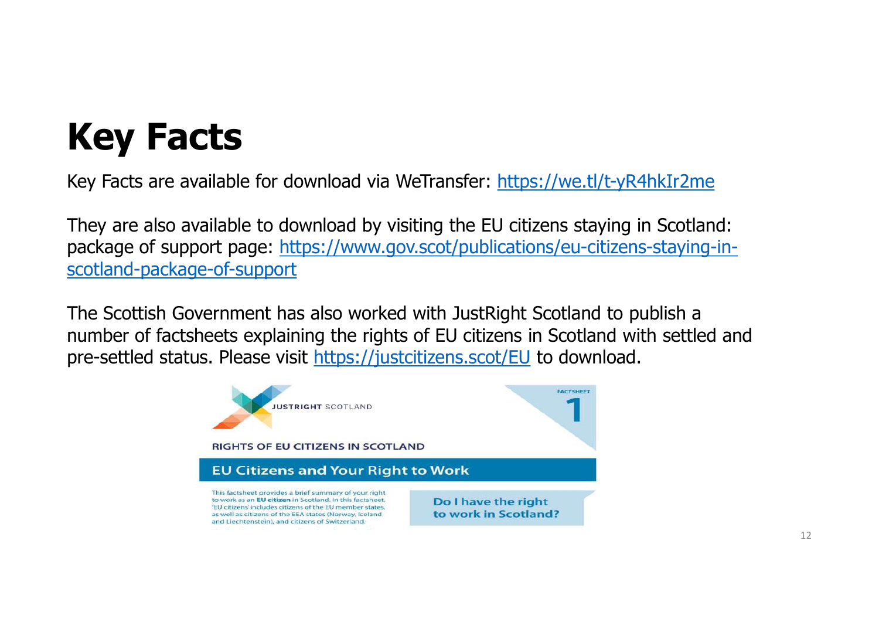# Key Facts

Key Facts are available for download via WeTransfer: https://we.tl/t-yR4hkIr2me

They are also available to download by visiting the EU citizens staying in Scotland: package of support page: https://www.gov.scot/publications/eu-citizens-staying-inscotland-package-of-support

**Key Facts**<br>Key Facts are available for download via WeTransfer: https://we.tl/t-yR4hkIr2me<br>They are also available to download by visiting the EU citizens staying in Scotland:<br>package of support page: https://www.gov.scot **Key Facts**<br>
Key Facts are available for download via WeTransfer: <u>https://we.tl/t-yR4hkIr2me</u><br>
They are also available to download by visiting the EU citizens staying in Scotland:<br>
package of support page: <u>https://www.go</u> pre-settled status. Please visit https://justcitizens.scot/EU to download.

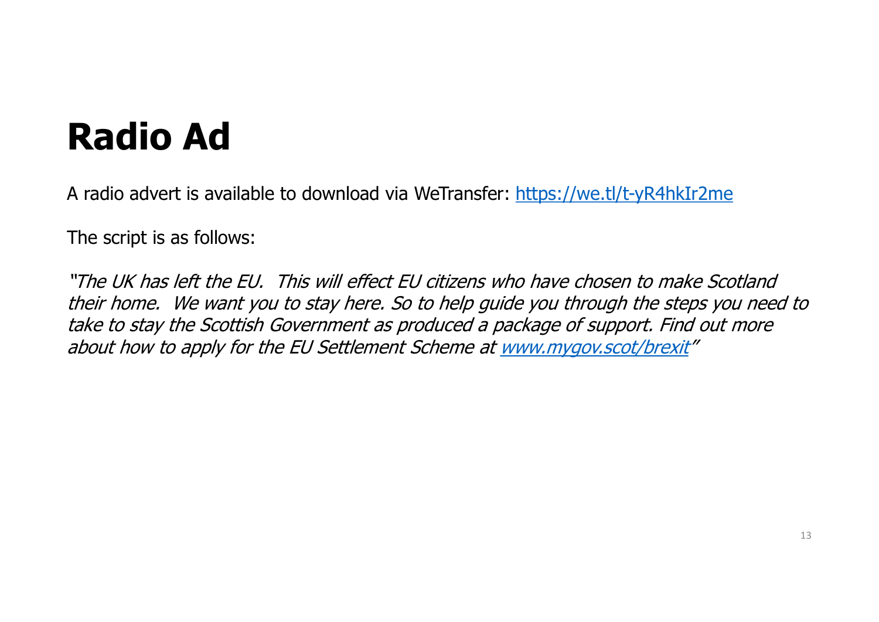# Radio Ad

A radio advert is available to download via WeTransfer: https://we.tl/t-yR4hkIr2me

The script is as follows:

"The UK has left the EU. This will effect EU citizens who have chosen to make Scotland their home. We want you to stay here. So to help guide you through the steps you need to take to stay the Scottish Government as produced a package of support. Find out more about how to apply for the EU Settlement Scheme at www.mygov.scot/brexit"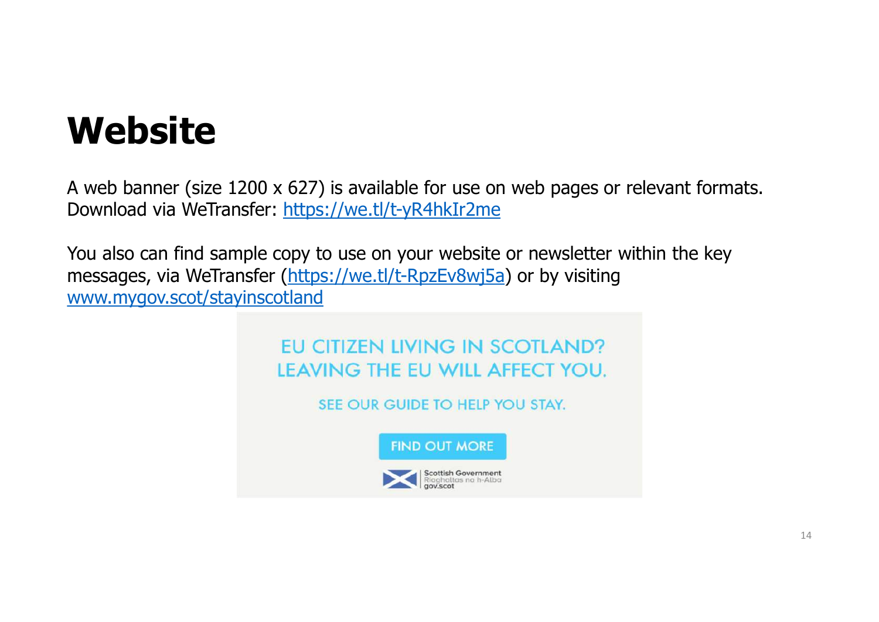# **Website**

A web banner (size 1200 x 627) is available for use on web pages or relevant formats. Download via WeTransfer: https://we.tl/t-yR4hkIr2me

You also can find sample copy to use on your website or newsletter within the key messages, via WeTransfer (https://we.tl/t-RpzEv8wj5a) or by visiting www.mygov.scot/stayinscotland



SEE OUR GUIDE TO HELP YOU STAY.



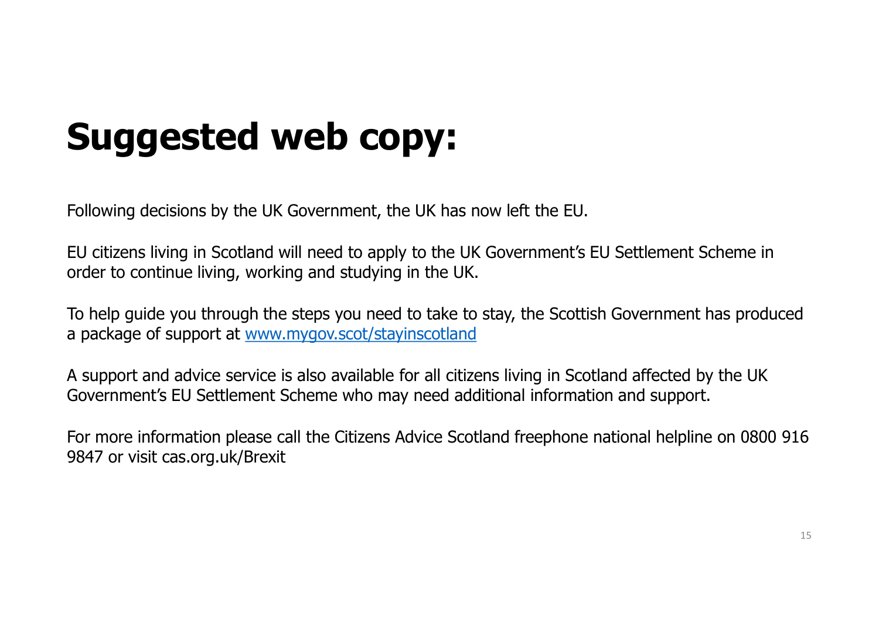# Suggested web copy:

Following decisions by the UK Government, the UK has now left the EU.

EU citizens living in Scotland will need to apply to the UK Government's EU Settlement Scheme in order to continue living, working and studying in the UK.

To help guide you through the steps you need to take to stay, the Scottish Government has produced a package of support at www.mygov.scot/stayinscotland

A support and advice service is also available for all citizens living in Scotland affected by the UK Government's EU Settlement Scheme who may need additional information and support.

Following decisions by the UK Government, the UK has now left the EU.<br>FU citizens living in Scotland will need to apply to the UK Government's EU Settlement Scheme in<br>order to continue living, working and studying in the U 9847 or visit cas.org.uk/Brexit